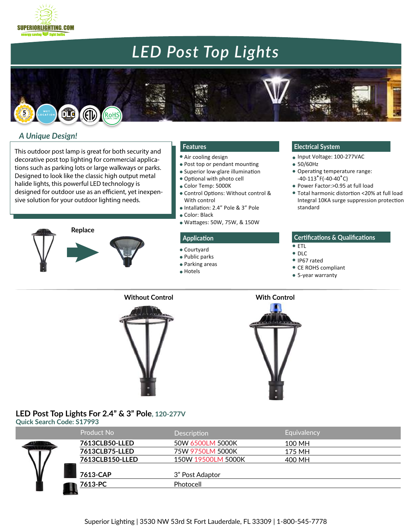



## *A Unique Design!*

**SUPERIORLIGHTING.COM** energy saving sight bull

This outdoor post lamp is great for both security and decorative post top lighting for commercial applications such as parking lots or large walkways or parks. Designed to look like the classic high output metal halide lights, this powerful LED technology is designed for outdoor use as an efficient, yet inexpensive solution for your outdoor lighting needs.



- Air cooling design
- Post top or pendant mounting
- Superior low-glare illumination
- Optional with photo cell
- Color Temp: 5000K
- Control Options: Without control & With control
- Intallation: 2.4" Pole & 3" Pole
- Color: Black
- Wa�ages: 50W, 75W, & 150W

- i Courtyard
- Public parks
- Parking areas
- Hotels

## **Features Electrical System**

- Input Voltage: 100-277VAC
- 50/60Hz
- Operating temperature range:  $-40-113^{\circ}$  F( $-40-40^{\circ}$ C)
- Power Factor:>0.95 at full load
- Total harmonic distor�on <20% at full load Integral 10KA surge suppression protection standard

### **Application Certifications & Qualifications**

- ETL
- DLC
- IP67 rated
- CE ROHS compliant
- 5-year warranty





## **LED Post Top Lights For 2.4" & 3" Pole, 120-277V**

**Quick Search Code: S17993**

|  | Product No      | <b>Description</b> | Equivalency |  |
|--|-----------------|--------------------|-------------|--|
|  | 7613CLB50-LLED  | 50W 6500LM 5000K   | 100 MH      |  |
|  | 7613CLB75-LLED  | 75W 9750LM 5000K   | 175 MH      |  |
|  | 7613CLB150-LLED | 150W 19500LM 5000K | 400 MH      |  |
|  | 7613-CAP        | 3" Post Adaptor    |             |  |
|  | 7613-PC         | Photocell          |             |  |
|  |                 |                    |             |  |